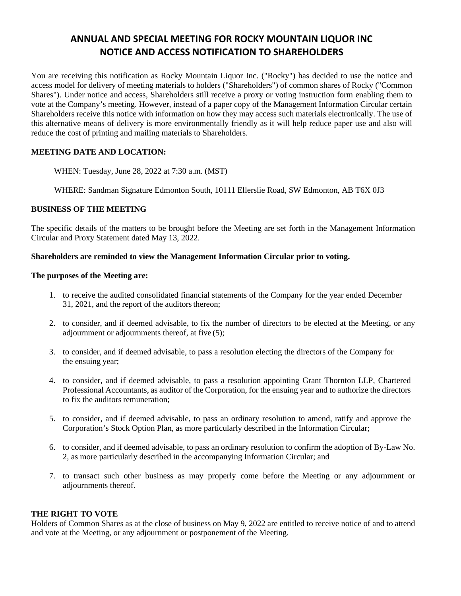# **ANNUAL AND SPECIAL MEETING FOR ROCKY MOUNTAIN LIQUOR INC NOTICE AND ACCESS NOTIFICATION TO SHAREHOLDERS**

You are receiving this notification as Rocky Mountain Liquor Inc. ("Rocky") has decided to use the notice and access model for delivery of meeting materials to holders ("Shareholders") of common shares of Rocky ("Common Shares"). Under notice and access, Shareholders still receive a proxy or voting instruction form enabling them to vote at the Company's meeting. However, instead of a paper copy of the Management Information Circular certain Shareholders receive this notice with information on how they may access such materials electronically. The use of this alternative means of delivery is more environmentally friendly as it will help reduce paper use and also will reduce the cost of printing and mailing materials to Shareholders.

# **MEETING DATE AND LOCATION:**

WHEN: Tuesday, June 28, 2022 at 7:30 a.m. (MST)

WHERE: Sandman Signature Edmonton South, 10111 Ellerslie Road, SW Edmonton, AB T6X 0J3

# **BUSINESS OF THE MEETING**

The specific details of the matters to be brought before the Meeting are set forth in the Management Information Circular and Proxy Statement dated May 13, 2022.

#### **Shareholders are reminded to view the Management Information Circular prior to voting.**

### **The purposes of the Meeting are:**

- 1. to receive the audited consolidated financial statements of the Company for the year ended December 31, 2021, and the report of the auditors thereon;
- 2. to consider, and if deemed advisable, to fix the number of directors to be elected at the Meeting, or any adjournment or adjournments thereof, at five (5);
- 3. to consider, and if deemed advisable, to pass a resolution electing the directors of the Company for the ensuing year;
- 4. to consider, and if deemed advisable, to pass a resolution appointing Grant Thornton LLP, Chartered Professional Accountants, as auditor of the Corporation, for the ensuing year and to authorize the directors to fix the auditors remuneration;
- 5. to consider, and if deemed advisable, to pass an ordinary resolution to amend, ratify and approve the Corporation's Stock Option Plan, as more particularly described in the Information Circular;
- 6. to consider, and if deemed advisable, to pass an ordinary resolution to confirm the adoption of By-Law No. 2, as more particularly described in the accompanying Information Circular; and
- 7. to transact such other business as may properly come before the Meeting or any adjournment or adjournments thereof.

#### **THE RIGHT TO VOTE**

Holders of Common Shares as at the close of business on May 9, 2022 are entitled to receive notice of and to attend and vote at the Meeting, or any adjournment or postponement of the Meeting.